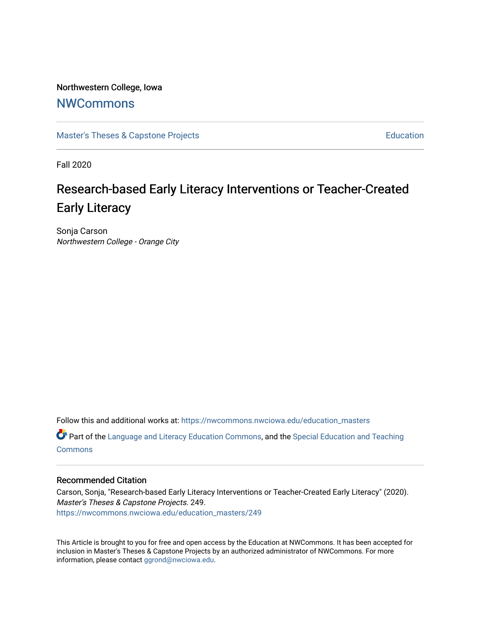# Northwestern College, Iowa

# **[NWCommons](https://nwcommons.nwciowa.edu/)**

[Master's Theses & Capstone Projects](https://nwcommons.nwciowa.edu/education_masters) **Education** Education

Fall 2020

# Research-based Early Literacy Interventions or Teacher-Created Early Literacy

Sonja Carson Northwestern College - Orange City

Follow this and additional works at: [https://nwcommons.nwciowa.edu/education\\_masters](https://nwcommons.nwciowa.edu/education_masters?utm_source=nwcommons.nwciowa.edu%2Feducation_masters%2F249&utm_medium=PDF&utm_campaign=PDFCoverPages)

Part of the [Language and Literacy Education Commons,](http://network.bepress.com/hgg/discipline/1380?utm_source=nwcommons.nwciowa.edu%2Feducation_masters%2F249&utm_medium=PDF&utm_campaign=PDFCoverPages) and the [Special Education and Teaching](http://network.bepress.com/hgg/discipline/801?utm_source=nwcommons.nwciowa.edu%2Feducation_masters%2F249&utm_medium=PDF&utm_campaign=PDFCoverPages) [Commons](http://network.bepress.com/hgg/discipline/801?utm_source=nwcommons.nwciowa.edu%2Feducation_masters%2F249&utm_medium=PDF&utm_campaign=PDFCoverPages)

#### Recommended Citation

Carson, Sonja, "Research-based Early Literacy Interventions or Teacher-Created Early Literacy" (2020). Master's Theses & Capstone Projects. 249. [https://nwcommons.nwciowa.edu/education\\_masters/249](https://nwcommons.nwciowa.edu/education_masters/249?utm_source=nwcommons.nwciowa.edu%2Feducation_masters%2F249&utm_medium=PDF&utm_campaign=PDFCoverPages)

This Article is brought to you for free and open access by the Education at NWCommons. It has been accepted for inclusion in Master's Theses & Capstone Projects by an authorized administrator of NWCommons. For more information, please contact [ggrond@nwciowa.edu](mailto:ggrond@nwciowa.edu).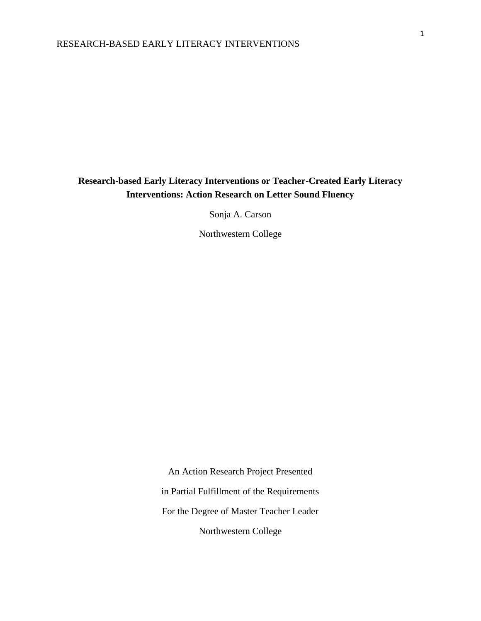# **Research-based Early Literacy Interventions or Teacher-Created Early Literacy Interventions: Action Research on Letter Sound Fluency**

Sonja A. Carson

Northwestern College

An Action Research Project Presented in Partial Fulfillment of the Requirements For the Degree of Master Teacher Leader Northwestern College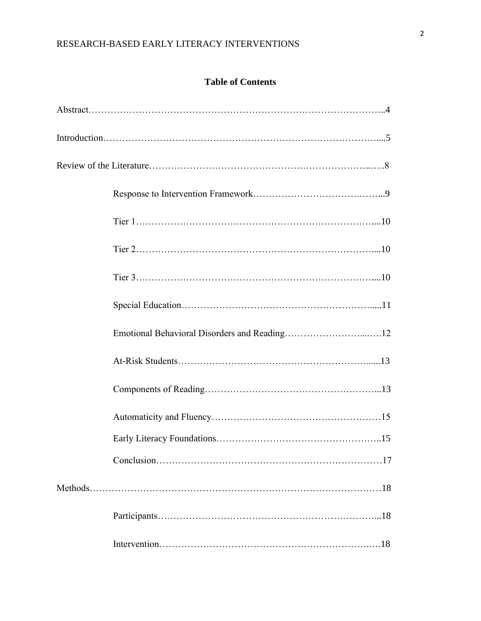# **Table of Contents**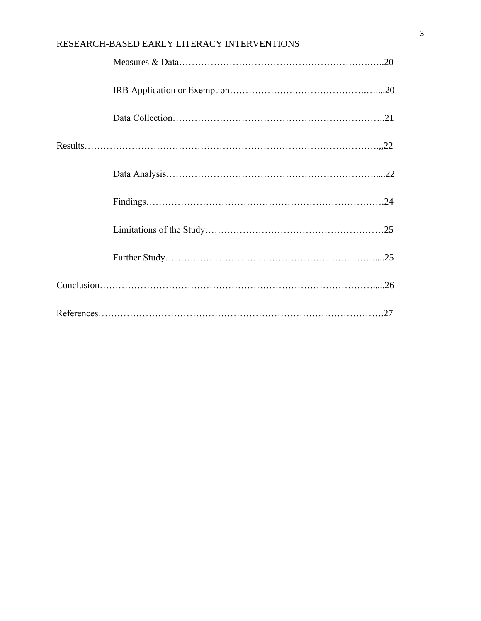| RESEARCH-BASED EARLY LITERACY INTERVENTIONS |
|---------------------------------------------|
|                                             |
|                                             |
|                                             |
|                                             |
|                                             |
|                                             |
|                                             |
|                                             |
|                                             |
|                                             |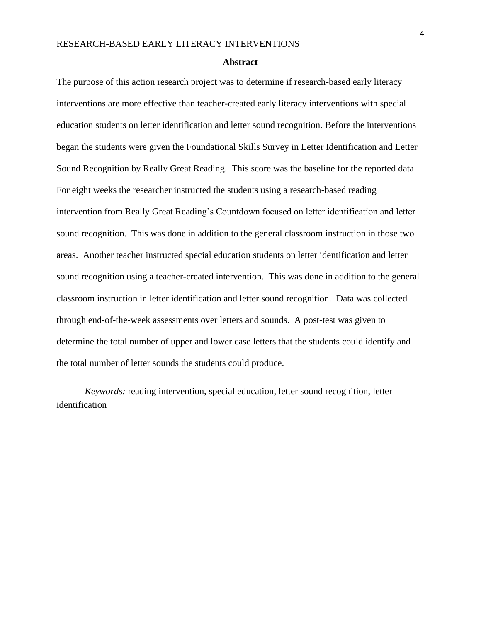#### **Abstract**

The purpose of this action research project was to determine if research-based early literacy interventions are more effective than teacher-created early literacy interventions with special education students on letter identification and letter sound recognition. Before the interventions began the students were given the Foundational Skills Survey in Letter Identification and Letter Sound Recognition by Really Great Reading. This score was the baseline for the reported data. For eight weeks the researcher instructed the students using a research-based reading intervention from Really Great Reading's Countdown focused on letter identification and letter sound recognition. This was done in addition to the general classroom instruction in those two areas. Another teacher instructed special education students on letter identification and letter sound recognition using a teacher-created intervention. This was done in addition to the general classroom instruction in letter identification and letter sound recognition. Data was collected through end-of-the-week assessments over letters and sounds. A post-test was given to determine the total number of upper and lower case letters that the students could identify and the total number of letter sounds the students could produce.

*Keywords:* reading intervention, special education, letter sound recognition, letter identification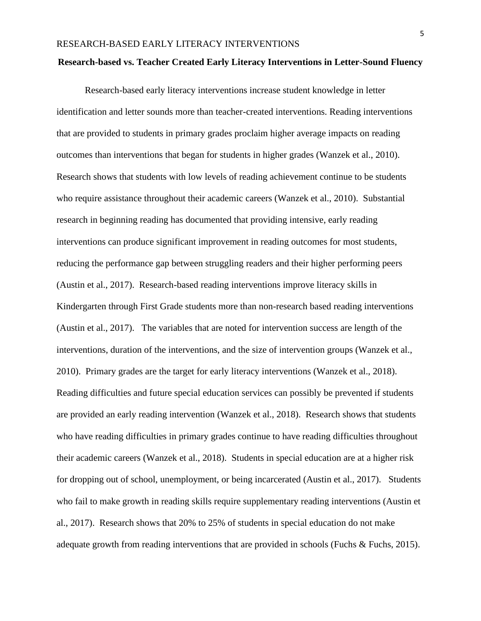#### **Research-based vs. Teacher Created Early Literacy Interventions in Letter-Sound Fluency**

Research-based early literacy interventions increase student knowledge in letter identification and letter sounds more than teacher-created interventions. Reading interventions that are provided to students in primary grades proclaim higher average impacts on reading outcomes than interventions that began for students in higher grades (Wanzek et al., 2010). Research shows that students with low levels of reading achievement continue to be students who require assistance throughout their academic careers (Wanzek et al., 2010). Substantial research in beginning reading has documented that providing intensive, early reading interventions can produce significant improvement in reading outcomes for most students, reducing the performance gap between struggling readers and their higher performing peers (Austin et al., 2017). Research-based reading interventions improve literacy skills in Kindergarten through First Grade students more than non-research based reading interventions (Austin et al., 2017). The variables that are noted for intervention success are length of the interventions, duration of the interventions, and the size of intervention groups (Wanzek et al., 2010). Primary grades are the target for early literacy interventions (Wanzek et al., 2018). Reading difficulties and future special education services can possibly be prevented if students are provided an early reading intervention (Wanzek et al., 2018). Research shows that students who have reading difficulties in primary grades continue to have reading difficulties throughout their academic careers (Wanzek et al., 2018). Students in special education are at a higher risk for dropping out of school, unemployment, or being incarcerated (Austin et al., 2017). Students who fail to make growth in reading skills require supplementary reading interventions (Austin et al., 2017). Research shows that 20% to 25% of students in special education do not make adequate growth from reading interventions that are provided in schools (Fuchs & Fuchs, 2015).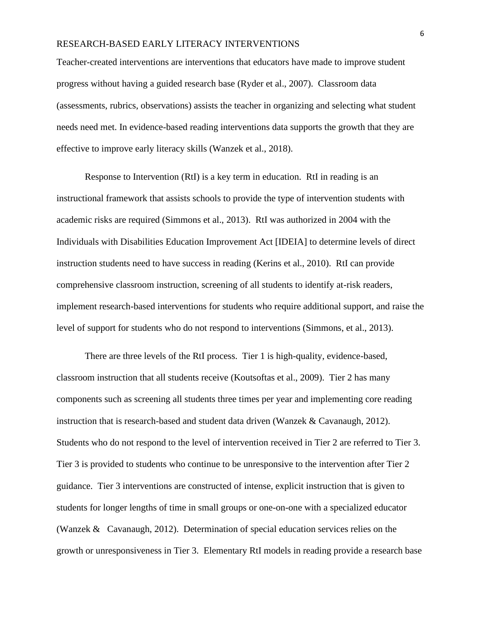Teacher-created interventions are interventions that educators have made to improve student progress without having a guided research base (Ryder et al., 2007). Classroom data (assessments, rubrics, observations) assists the teacher in organizing and selecting what student needs need met. In evidence-based reading interventions data supports the growth that they are effective to improve early literacy skills (Wanzek et al., 2018).

Response to Intervention (RtI) is a key term in education. RtI in reading is an instructional framework that assists schools to provide the type of intervention students with academic risks are required (Simmons et al., 2013). RtI was authorized in 2004 with the Individuals with Disabilities Education Improvement Act [IDEIA] to determine levels of direct instruction students need to have success in reading (Kerins et al., 2010). RtI can provide comprehensive classroom instruction, screening of all students to identify at-risk readers, implement research-based interventions for students who require additional support, and raise the level of support for students who do not respond to interventions (Simmons, et al., 2013).

There are three levels of the RtI process. Tier 1 is high-quality, evidence-based, classroom instruction that all students receive (Koutsoftas et al., 2009). Tier 2 has many components such as screening all students three times per year and implementing core reading instruction that is research-based and student data driven (Wanzek & Cavanaugh, 2012). Students who do not respond to the level of intervention received in Tier 2 are referred to Tier 3. Tier 3 is provided to students who continue to be unresponsive to the intervention after Tier 2 guidance. Tier 3 interventions are constructed of intense, explicit instruction that is given to students for longer lengths of time in small groups or one-on-one with a specialized educator (Wanzek & Cavanaugh, 2012). Determination of special education services relies on the growth or unresponsiveness in Tier 3. Elementary RtI models in reading provide a research base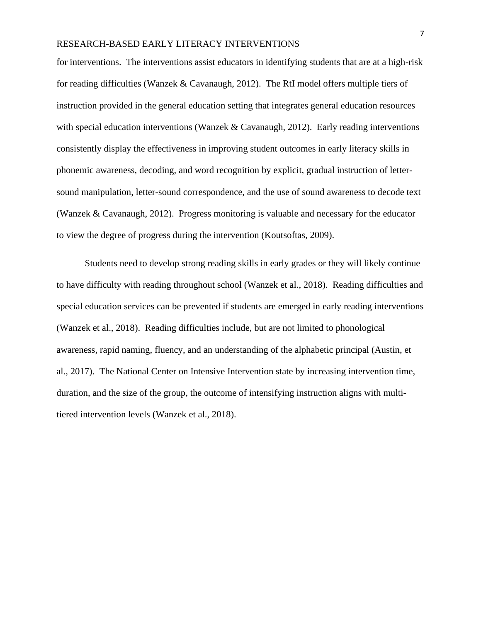for interventions. The interventions assist educators in identifying students that are at a high-risk for reading difficulties (Wanzek & Cavanaugh, 2012). The RtI model offers multiple tiers of instruction provided in the general education setting that integrates general education resources with special education interventions (Wanzek & Cavanaugh, 2012). Early reading interventions consistently display the effectiveness in improving student outcomes in early literacy skills in phonemic awareness, decoding, and word recognition by explicit, gradual instruction of lettersound manipulation, letter-sound correspondence, and the use of sound awareness to decode text (Wanzek & Cavanaugh, 2012). Progress monitoring is valuable and necessary for the educator to view the degree of progress during the intervention (Koutsoftas, 2009).

Students need to develop strong reading skills in early grades or they will likely continue to have difficulty with reading throughout school (Wanzek et al., 2018). Reading difficulties and special education services can be prevented if students are emerged in early reading interventions (Wanzek et al., 2018). Reading difficulties include, but are not limited to phonological awareness, rapid naming, fluency, and an understanding of the alphabetic principal (Austin, et al., 2017). The National Center on Intensive Intervention state by increasing intervention time, duration, and the size of the group, the outcome of intensifying instruction aligns with multitiered intervention levels (Wanzek et al., 2018).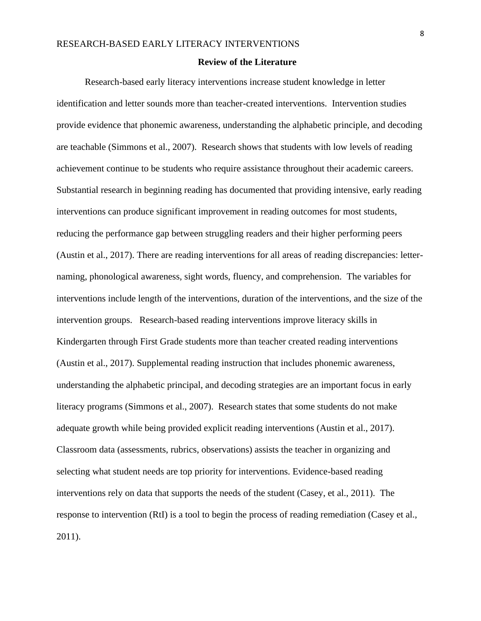#### **Review of the Literature**

Research-based early literacy interventions increase student knowledge in letter identification and letter sounds more than teacher-created interventions. Intervention studies provide evidence that phonemic awareness, understanding the alphabetic principle, and decoding are teachable (Simmons et al., 2007). Research shows that students with low levels of reading achievement continue to be students who require assistance throughout their academic careers. Substantial research in beginning reading has documented that providing intensive, early reading interventions can produce significant improvement in reading outcomes for most students, reducing the performance gap between struggling readers and their higher performing peers (Austin et al., 2017). There are reading interventions for all areas of reading discrepancies: letternaming, phonological awareness, sight words, fluency, and comprehension. The variables for interventions include length of the interventions, duration of the interventions, and the size of the intervention groups. Research-based reading interventions improve literacy skills in Kindergarten through First Grade students more than teacher created reading interventions (Austin et al., 2017). Supplemental reading instruction that includes phonemic awareness, understanding the alphabetic principal, and decoding strategies are an important focus in early literacy programs (Simmons et al., 2007). Research states that some students do not make adequate growth while being provided explicit reading interventions (Austin et al., 2017). Classroom data (assessments, rubrics, observations) assists the teacher in organizing and selecting what student needs are top priority for interventions. Evidence-based reading interventions rely on data that supports the needs of the student (Casey, et al., 2011). The response to intervention (RtI) is a tool to begin the process of reading remediation (Casey et al., 2011).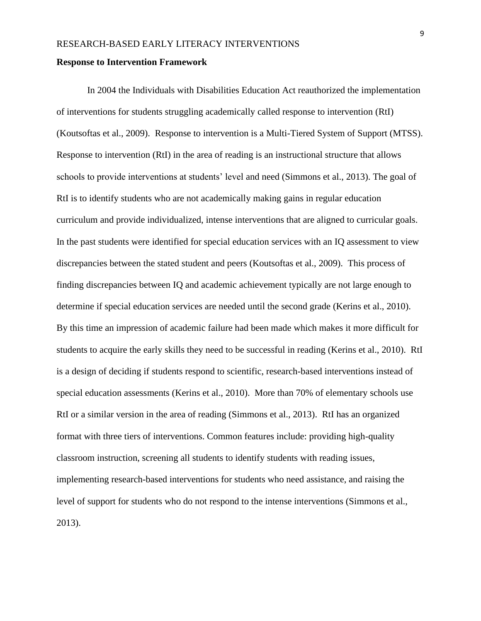#### **Response to Intervention Framework**

In 2004 the Individuals with Disabilities Education Act reauthorized the implementation of interventions for students struggling academically called response to intervention (RtI) (Koutsoftas et al., 2009). Response to intervention is a Multi-Tiered System of Support (MTSS). Response to intervention (RtI) in the area of reading is an instructional structure that allows schools to provide interventions at students' level and need (Simmons et al., 2013). The goal of RtI is to identify students who are not academically making gains in regular education curriculum and provide individualized, intense interventions that are aligned to curricular goals. In the past students were identified for special education services with an IQ assessment to view discrepancies between the stated student and peers (Koutsoftas et al., 2009). This process of finding discrepancies between IQ and academic achievement typically are not large enough to determine if special education services are needed until the second grade (Kerins et al., 2010). By this time an impression of academic failure had been made which makes it more difficult for students to acquire the early skills they need to be successful in reading (Kerins et al., 2010). RtI is a design of deciding if students respond to scientific, research-based interventions instead of special education assessments (Kerins et al., 2010). More than 70% of elementary schools use RtI or a similar version in the area of reading (Simmons et al., 2013). RtI has an organized format with three tiers of interventions. Common features include: providing high-quality classroom instruction, screening all students to identify students with reading issues, implementing research-based interventions for students who need assistance, and raising the level of support for students who do not respond to the intense interventions (Simmons et al., 2013).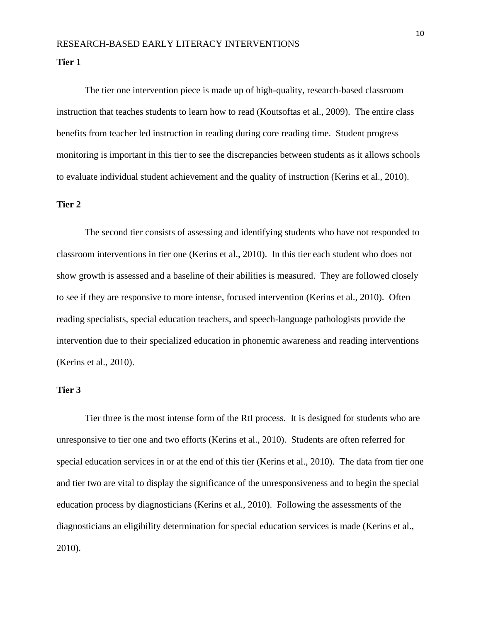**Tier 1**

The tier one intervention piece is made up of high-quality, research-based classroom instruction that teaches students to learn how to read (Koutsoftas et al., 2009). The entire class benefits from teacher led instruction in reading during core reading time. Student progress monitoring is important in this tier to see the discrepancies between students as it allows schools to evaluate individual student achievement and the quality of instruction (Kerins et al., 2010).

# **Tier 2**

The second tier consists of assessing and identifying students who have not responded to classroom interventions in tier one (Kerins et al., 2010). In this tier each student who does not show growth is assessed and a baseline of their abilities is measured. They are followed closely to see if they are responsive to more intense, focused intervention (Kerins et al., 2010). Often reading specialists, special education teachers, and speech-language pathologists provide the intervention due to their specialized education in phonemic awareness and reading interventions (Kerins et al., 2010).

# **Tier 3**

Tier three is the most intense form of the RtI process. It is designed for students who are unresponsive to tier one and two efforts (Kerins et al., 2010). Students are often referred for special education services in or at the end of this tier (Kerins et al., 2010). The data from tier one and tier two are vital to display the significance of the unresponsiveness and to begin the special education process by diagnosticians (Kerins et al., 2010). Following the assessments of the diagnosticians an eligibility determination for special education services is made (Kerins et al., 2010).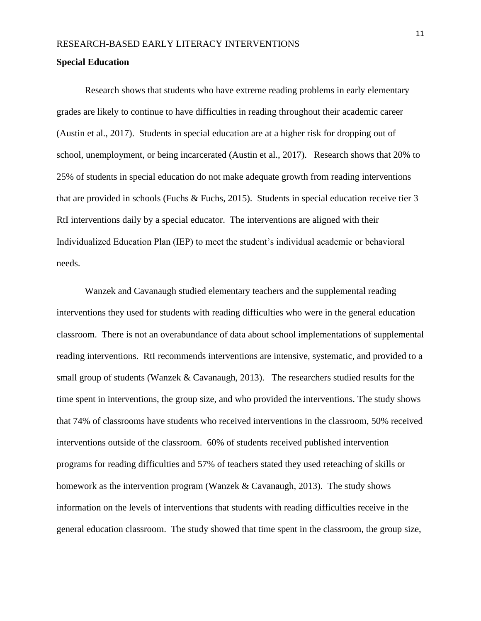#### **Special Education**

Research shows that students who have extreme reading problems in early elementary grades are likely to continue to have difficulties in reading throughout their academic career (Austin et al., 2017). Students in special education are at a higher risk for dropping out of school, unemployment, or being incarcerated (Austin et al., 2017). Research shows that 20% to 25% of students in special education do not make adequate growth from reading interventions that are provided in schools (Fuchs & Fuchs, 2015). Students in special education receive tier 3 RtI interventions daily by a special educator. The interventions are aligned with their Individualized Education Plan (IEP) to meet the student's individual academic or behavioral needs.

Wanzek and Cavanaugh studied elementary teachers and the supplemental reading interventions they used for students with reading difficulties who were in the general education classroom. There is not an overabundance of data about school implementations of supplemental reading interventions. RtI recommends interventions are intensive, systematic, and provided to a small group of students (Wanzek & Cavanaugh, 2013). The researchers studied results for the time spent in interventions, the group size, and who provided the interventions. The study shows that 74% of classrooms have students who received interventions in the classroom, 50% received interventions outside of the classroom. 60% of students received published intervention programs for reading difficulties and 57% of teachers stated they used reteaching of skills or homework as the intervention program (Wanzek & Cavanaugh, 2013). The study shows information on the levels of interventions that students with reading difficulties receive in the general education classroom. The study showed that time spent in the classroom, the group size,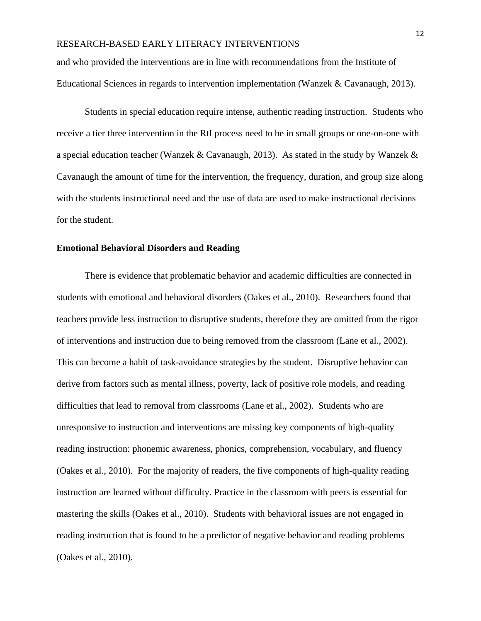and who provided the interventions are in line with recommendations from the Institute of Educational Sciences in regards to intervention implementation (Wanzek & Cavanaugh, 2013).

Students in special education require intense, authentic reading instruction. Students who receive a tier three intervention in the RtI process need to be in small groups or one-on-one with a special education teacher (Wanzek & Cavanaugh, 2013). As stated in the study by Wanzek & Cavanaugh the amount of time for the intervention, the frequency, duration, and group size along with the students instructional need and the use of data are used to make instructional decisions for the student.

#### **Emotional Behavioral Disorders and Reading**

There is evidence that problematic behavior and academic difficulties are connected in students with emotional and behavioral disorders (Oakes et al., 2010). Researchers found that teachers provide less instruction to disruptive students, therefore they are omitted from the rigor of interventions and instruction due to being removed from the classroom (Lane et al., 2002). This can become a habit of task-avoidance strategies by the student. Disruptive behavior can derive from factors such as mental illness, poverty, lack of positive role models, and reading difficulties that lead to removal from classrooms (Lane et al., 2002). Students who are unresponsive to instruction and interventions are missing key components of high-quality reading instruction: phonemic awareness, phonics, comprehension, vocabulary, and fluency (Oakes et al., 2010). For the majority of readers, the five components of high-quality reading instruction are learned without difficulty. Practice in the classroom with peers is essential for mastering the skills (Oakes et al., 2010). Students with behavioral issues are not engaged in reading instruction that is found to be a predictor of negative behavior and reading problems (Oakes et al., 2010).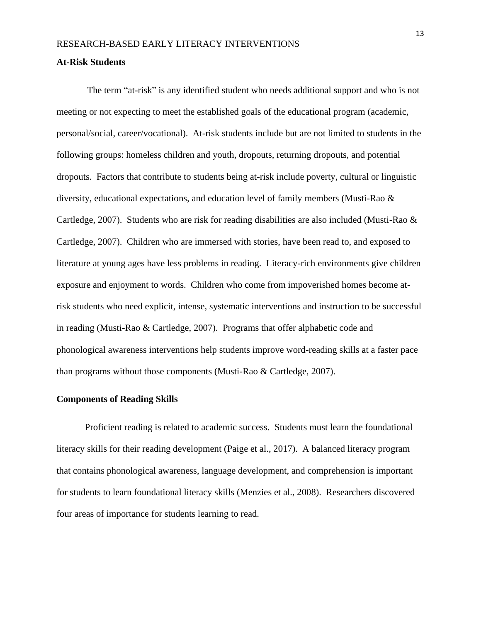#### **At-Risk Students**

The term "at-risk" is any identified student who needs additional support and who is not meeting or not expecting to meet the established goals of the educational program (academic, personal/social, career/vocational). At-risk students include but are not limited to students in the following groups: homeless children and youth, dropouts, returning dropouts, and potential dropouts. Factors that contribute to students being at-risk include poverty, cultural or linguistic diversity, educational expectations, and education level of family members (Musti-Rao & Cartledge, 2007). Students who are risk for reading disabilities are also included (Musti-Rao & Cartledge, 2007). Children who are immersed with stories, have been read to, and exposed to literature at young ages have less problems in reading. Literacy-rich environments give children exposure and enjoyment to words. Children who come from impoverished homes become atrisk students who need explicit, intense, systematic interventions and instruction to be successful in reading (Musti-Rao & Cartledge, 2007). Programs that offer alphabetic code and phonological awareness interventions help students improve word-reading skills at a faster pace than programs without those components (Musti-Rao & Cartledge, 2007).

#### **Components of Reading Skills**

Proficient reading is related to academic success. Students must learn the foundational literacy skills for their reading development (Paige et al., 2017). A balanced literacy program that contains phonological awareness, language development, and comprehension is important for students to learn foundational literacy skills (Menzies et al., 2008). Researchers discovered four areas of importance for students learning to read.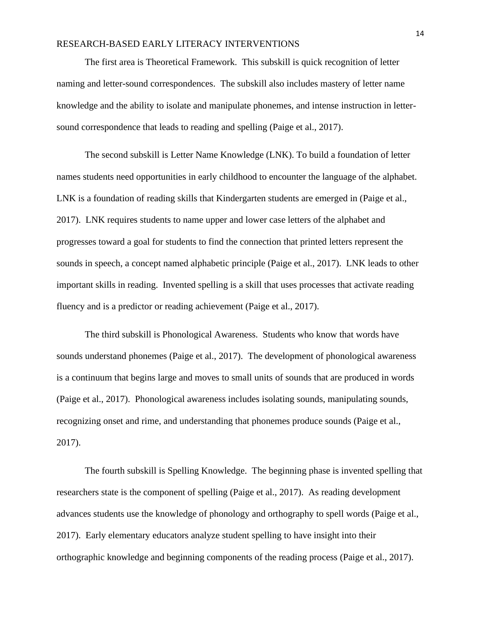The first area is Theoretical Framework. This subskill is quick recognition of letter naming and letter-sound correspondences. The subskill also includes mastery of letter name knowledge and the ability to isolate and manipulate phonemes, and intense instruction in lettersound correspondence that leads to reading and spelling (Paige et al., 2017).

The second subskill is Letter Name Knowledge (LNK). To build a foundation of letter names students need opportunities in early childhood to encounter the language of the alphabet. LNK is a foundation of reading skills that Kindergarten students are emerged in (Paige et al., 2017). LNK requires students to name upper and lower case letters of the alphabet and progresses toward a goal for students to find the connection that printed letters represent the sounds in speech, a concept named alphabetic principle (Paige et al., 2017). LNK leads to other important skills in reading. Invented spelling is a skill that uses processes that activate reading fluency and is a predictor or reading achievement (Paige et al., 2017).

The third subskill is Phonological Awareness. Students who know that words have sounds understand phonemes (Paige et al., 2017). The development of phonological awareness is a continuum that begins large and moves to small units of sounds that are produced in words (Paige et al., 2017). Phonological awareness includes isolating sounds, manipulating sounds, recognizing onset and rime, and understanding that phonemes produce sounds (Paige et al., 2017).

The fourth subskill is Spelling Knowledge. The beginning phase is invented spelling that researchers state is the component of spelling (Paige et al., 2017). As reading development advances students use the knowledge of phonology and orthography to spell words (Paige et al., 2017). Early elementary educators analyze student spelling to have insight into their orthographic knowledge and beginning components of the reading process (Paige et al., 2017).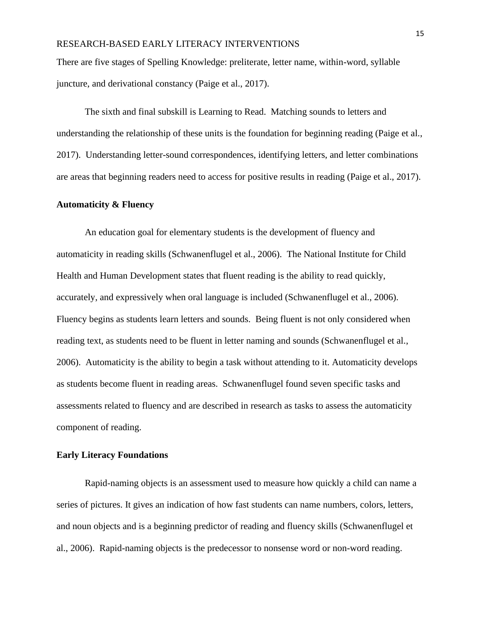There are five stages of Spelling Knowledge: preliterate, letter name, within-word, syllable juncture, and derivational constancy (Paige et al., 2017).

The sixth and final subskill is Learning to Read. Matching sounds to letters and understanding the relationship of these units is the foundation for beginning reading (Paige et al., 2017). Understanding letter-sound correspondences, identifying letters, and letter combinations are areas that beginning readers need to access for positive results in reading (Paige et al., 2017).

#### **Automaticity & Fluency**

An education goal for elementary students is the development of fluency and automaticity in reading skills (Schwanenflugel et al., 2006). The National Institute for Child Health and Human Development states that fluent reading is the ability to read quickly, accurately, and expressively when oral language is included (Schwanenflugel et al., 2006). Fluency begins as students learn letters and sounds. Being fluent is not only considered when reading text, as students need to be fluent in letter naming and sounds (Schwanenflugel et al., 2006). Automaticity is the ability to begin a task without attending to it. Automaticity develops as students become fluent in reading areas. Schwanenflugel found seven specific tasks and assessments related to fluency and are described in research as tasks to assess the automaticity component of reading.

### **Early Literacy Foundations**

Rapid-naming objects is an assessment used to measure how quickly a child can name a series of pictures. It gives an indication of how fast students can name numbers, colors, letters, and noun objects and is a beginning predictor of reading and fluency skills (Schwanenflugel et al., 2006). Rapid-naming objects is the predecessor to nonsense word or non-word reading.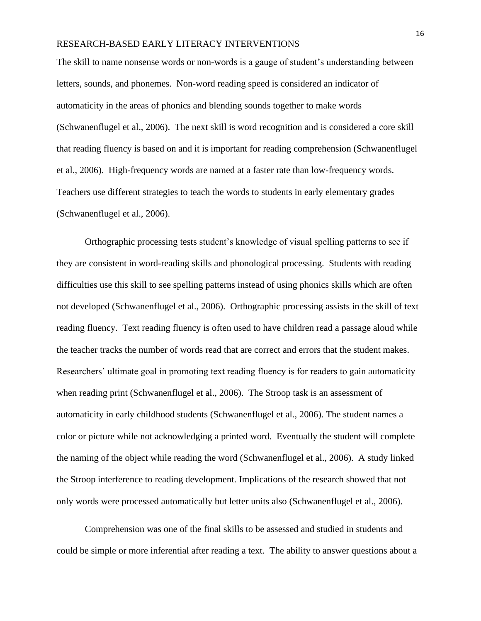The skill to name nonsense words or non-words is a gauge of student's understanding between letters, sounds, and phonemes. Non-word reading speed is considered an indicator of automaticity in the areas of phonics and blending sounds together to make words (Schwanenflugel et al., 2006). The next skill is word recognition and is considered a core skill that reading fluency is based on and it is important for reading comprehension (Schwanenflugel et al., 2006). High-frequency words are named at a faster rate than low-frequency words. Teachers use different strategies to teach the words to students in early elementary grades (Schwanenflugel et al., 2006).

Orthographic processing tests student's knowledge of visual spelling patterns to see if they are consistent in word-reading skills and phonological processing. Students with reading difficulties use this skill to see spelling patterns instead of using phonics skills which are often not developed (Schwanenflugel et al., 2006). Orthographic processing assists in the skill of text reading fluency. Text reading fluency is often used to have children read a passage aloud while the teacher tracks the number of words read that are correct and errors that the student makes. Researchers' ultimate goal in promoting text reading fluency is for readers to gain automaticity when reading print (Schwanenflugel et al., 2006). The Stroop task is an assessment of automaticity in early childhood students (Schwanenflugel et al., 2006). The student names a color or picture while not acknowledging a printed word. Eventually the student will complete the naming of the object while reading the word (Schwanenflugel et al., 2006). A study linked the Stroop interference to reading development. Implications of the research showed that not only words were processed automatically but letter units also (Schwanenflugel et al., 2006).

Comprehension was one of the final skills to be assessed and studied in students and could be simple or more inferential after reading a text. The ability to answer questions about a

16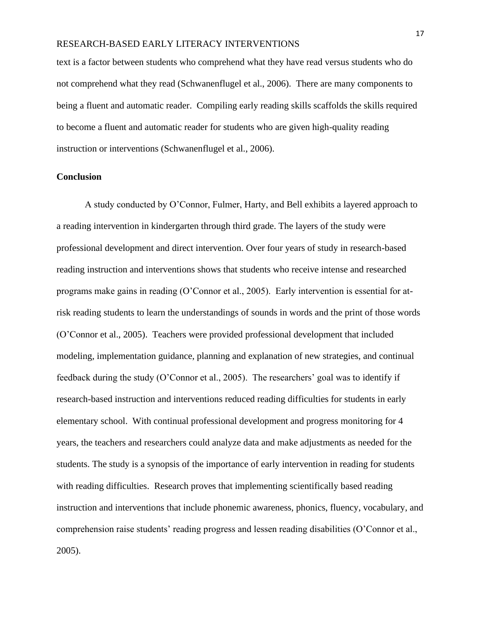text is a factor between students who comprehend what they have read versus students who do not comprehend what they read (Schwanenflugel et al., 2006). There are many components to being a fluent and automatic reader. Compiling early reading skills scaffolds the skills required to become a fluent and automatic reader for students who are given high-quality reading instruction or interventions (Schwanenflugel et al., 2006).

# **Conclusion**

A study conducted by O'Connor, Fulmer, Harty, and Bell exhibits a layered approach to a reading intervention in kindergarten through third grade. The layers of the study were professional development and direct intervention. Over four years of study in research-based reading instruction and interventions shows that students who receive intense and researched programs make gains in reading (O'Connor et al., 2005). Early intervention is essential for atrisk reading students to learn the understandings of sounds in words and the print of those words (O'Connor et al., 2005). Teachers were provided professional development that included modeling, implementation guidance, planning and explanation of new strategies, and continual feedback during the study (O'Connor et al., 2005). The researchers' goal was to identify if research-based instruction and interventions reduced reading difficulties for students in early elementary school. With continual professional development and progress monitoring for 4 years, the teachers and researchers could analyze data and make adjustments as needed for the students. The study is a synopsis of the importance of early intervention in reading for students with reading difficulties. Research proves that implementing scientifically based reading instruction and interventions that include phonemic awareness, phonics, fluency, vocabulary, and comprehension raise students' reading progress and lessen reading disabilities (O'Connor et al., 2005).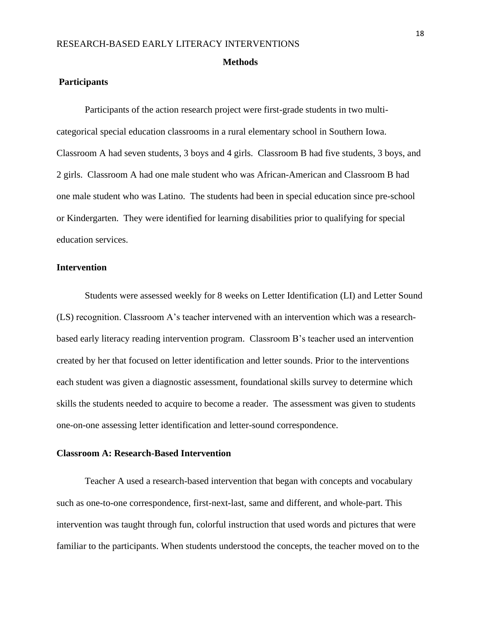#### **Methods**

## **Participants**

Participants of the action research project were first-grade students in two multicategorical special education classrooms in a rural elementary school in Southern Iowa. Classroom A had seven students, 3 boys and 4 girls. Classroom B had five students, 3 boys, and 2 girls. Classroom A had one male student who was African-American and Classroom B had one male student who was Latino. The students had been in special education since pre-school or Kindergarten. They were identified for learning disabilities prior to qualifying for special education services.

#### **Intervention**

Students were assessed weekly for 8 weeks on Letter Identification (LI) and Letter Sound (LS) recognition. Classroom A's teacher intervened with an intervention which was a researchbased early literacy reading intervention program. Classroom B's teacher used an intervention created by her that focused on letter identification and letter sounds. Prior to the interventions each student was given a diagnostic assessment, foundational skills survey to determine which skills the students needed to acquire to become a reader. The assessment was given to students one-on-one assessing letter identification and letter-sound correspondence.

# **Classroom A: Research-Based Intervention**

Teacher A used a research-based intervention that began with concepts and vocabulary such as one-to-one correspondence, first-next-last, same and different, and whole-part. This intervention was taught through fun, colorful instruction that used words and pictures that were familiar to the participants. When students understood the concepts, the teacher moved on to the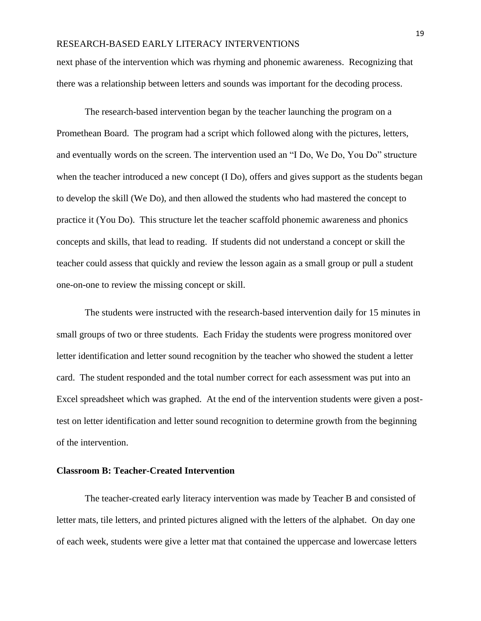next phase of the intervention which was rhyming and phonemic awareness. Recognizing that there was a relationship between letters and sounds was important for the decoding process.

The research-based intervention began by the teacher launching the program on a Promethean Board. The program had a script which followed along with the pictures, letters, and eventually words on the screen. The intervention used an "I Do, We Do, You Do" structure when the teacher introduced a new concept (I Do), offers and gives support as the students began to develop the skill (We Do), and then allowed the students who had mastered the concept to practice it (You Do). This structure let the teacher scaffold phonemic awareness and phonics concepts and skills, that lead to reading. If students did not understand a concept or skill the teacher could assess that quickly and review the lesson again as a small group or pull a student one-on-one to review the missing concept or skill.

The students were instructed with the research-based intervention daily for 15 minutes in small groups of two or three students. Each Friday the students were progress monitored over letter identification and letter sound recognition by the teacher who showed the student a letter card. The student responded and the total number correct for each assessment was put into an Excel spreadsheet which was graphed. At the end of the intervention students were given a posttest on letter identification and letter sound recognition to determine growth from the beginning of the intervention.

#### **Classroom B: Teacher-Created Intervention**

The teacher-created early literacy intervention was made by Teacher B and consisted of letter mats, tile letters, and printed pictures aligned with the letters of the alphabet. On day one of each week, students were give a letter mat that contained the uppercase and lowercase letters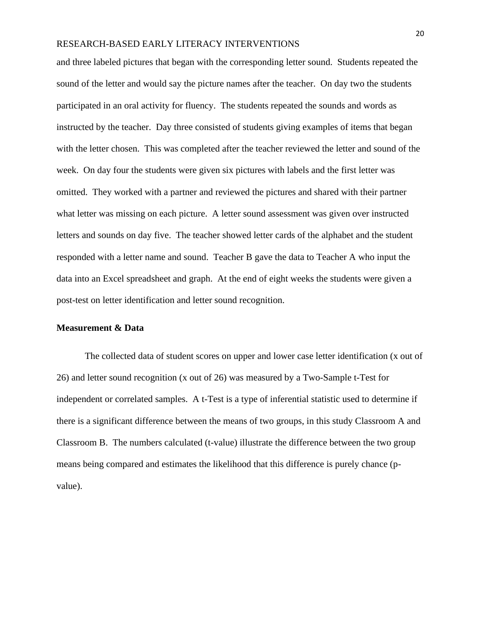and three labeled pictures that began with the corresponding letter sound. Students repeated the sound of the letter and would say the picture names after the teacher. On day two the students participated in an oral activity for fluency. The students repeated the sounds and words as instructed by the teacher. Day three consisted of students giving examples of items that began with the letter chosen. This was completed after the teacher reviewed the letter and sound of the week. On day four the students were given six pictures with labels and the first letter was omitted. They worked with a partner and reviewed the pictures and shared with their partner what letter was missing on each picture. A letter sound assessment was given over instructed letters and sounds on day five. The teacher showed letter cards of the alphabet and the student responded with a letter name and sound. Teacher B gave the data to Teacher A who input the data into an Excel spreadsheet and graph. At the end of eight weeks the students were given a post-test on letter identification and letter sound recognition.

# **Measurement & Data**

The collected data of student scores on upper and lower case letter identification (x out of 26) and letter sound recognition (x out of 26) was measured by a Two-Sample t-Test for independent or correlated samples. A t-Test is a type of inferential statistic used to determine if there is a significant difference between the means of two groups, in this study Classroom A and Classroom B. The numbers calculated (t-value) illustrate the difference between the two group means being compared and estimates the likelihood that this difference is purely chance (pvalue).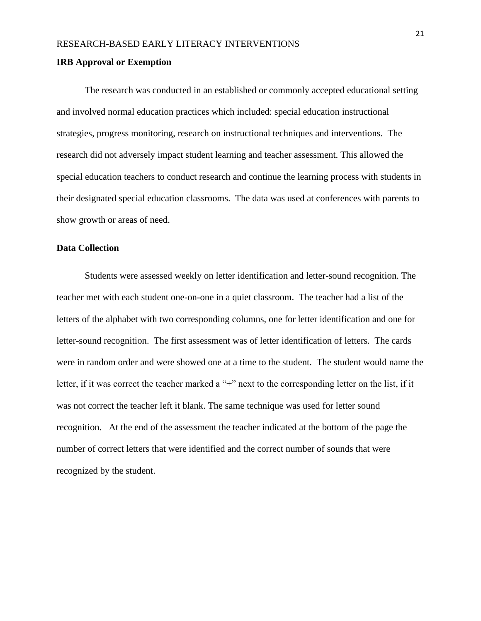#### **IRB Approval or Exemption**

The research was conducted in an established or commonly accepted educational setting and involved normal education practices which included: special education instructional strategies, progress monitoring, research on instructional techniques and interventions. The research did not adversely impact student learning and teacher assessment. This allowed the special education teachers to conduct research and continue the learning process with students in their designated special education classrooms. The data was used at conferences with parents to show growth or areas of need.

#### **Data Collection**

Students were assessed weekly on letter identification and letter-sound recognition. The teacher met with each student one-on-one in a quiet classroom. The teacher had a list of the letters of the alphabet with two corresponding columns, one for letter identification and one for letter-sound recognition. The first assessment was of letter identification of letters. The cards were in random order and were showed one at a time to the student. The student would name the letter, if it was correct the teacher marked a "+" next to the corresponding letter on the list, if it was not correct the teacher left it blank. The same technique was used for letter sound recognition. At the end of the assessment the teacher indicated at the bottom of the page the number of correct letters that were identified and the correct number of sounds that were recognized by the student.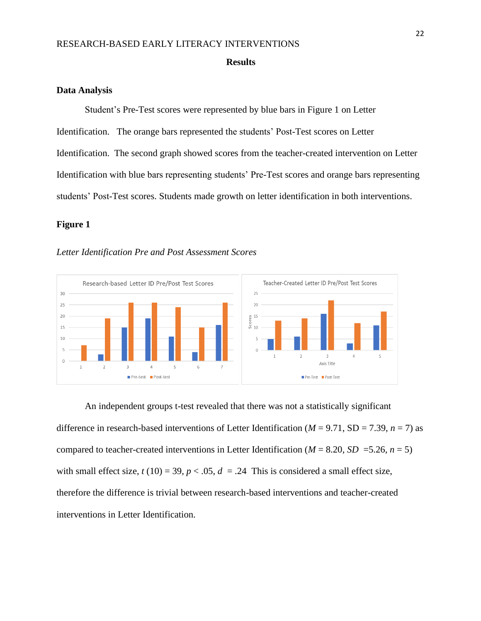#### **Results**

#### **Data Analysis**

Student's Pre-Test scores were represented by blue bars in Figure 1 on Letter Identification. The orange bars represented the students' Post-Test scores on Letter Identification. The second graph showed scores from the teacher-created intervention on Letter Identification with blue bars representing students' Pre-Test scores and orange bars representing students' Post-Test scores. Students made growth on letter identification in both interventions.

# **Figure 1**

#### *Letter Identification Pre and Post Assessment Scores*



An independent groups t-test revealed that there was not a statistically significant difference in research-based interventions of Letter Identification ( $M = 9.71$ , SD = 7.39,  $n = 7$ ) as compared to teacher-created interventions in Letter Identification ( $M = 8.20$ ,  $SD = 5.26$ ,  $n = 5$ ) with small effect size,  $t(10) = 39$ ,  $p < .05$ ,  $d = .24$  This is considered a small effect size, therefore the difference is trivial between research-based interventions and teacher-created interventions in Letter Identification.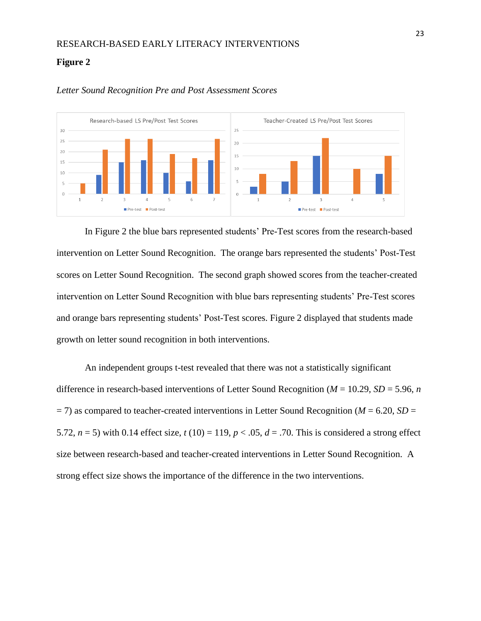#### **Figure 2**



#### *Letter Sound Recognition Pre and Post Assessment Scores*

In Figure 2 the blue bars represented students' Pre-Test scores from the research-based intervention on Letter Sound Recognition. The orange bars represented the students' Post-Test scores on Letter Sound Recognition. The second graph showed scores from the teacher-created intervention on Letter Sound Recognition with blue bars representing students' Pre-Test scores and orange bars representing students' Post-Test scores. Figure 2 displayed that students made growth on letter sound recognition in both interventions.

An independent groups t-test revealed that there was not a statistically significant difference in research-based interventions of Letter Sound Recognition (*M* = 10.29, *SD* = 5.96, *n*  $=$  7) as compared to teacher-created interventions in Letter Sound Recognition (*M* = 6.20, *SD* = 5.72,  $n = 5$ ) with 0.14 effect size,  $t(10) = 119$ ,  $p < .05$ ,  $d = .70$ . This is considered a strong effect size between research-based and teacher-created interventions in Letter Sound Recognition. A strong effect size shows the importance of the difference in the two interventions.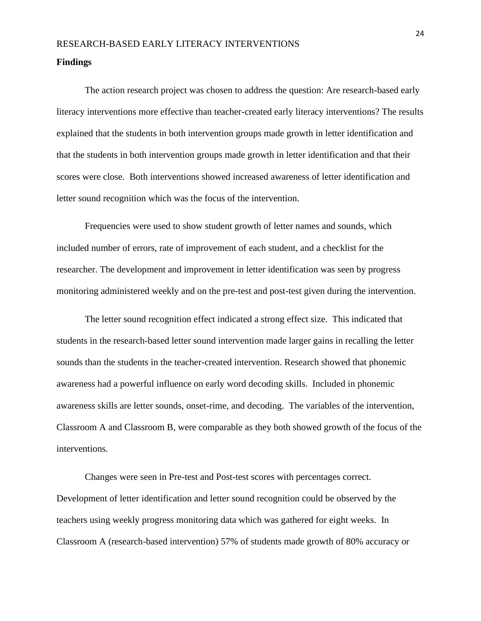#### **Findings**

The action research project was chosen to address the question: Are research-based early literacy interventions more effective than teacher-created early literacy interventions? The results explained that the students in both intervention groups made growth in letter identification and that the students in both intervention groups made growth in letter identification and that their scores were close. Both interventions showed increased awareness of letter identification and letter sound recognition which was the focus of the intervention.

Frequencies were used to show student growth of letter names and sounds, which included number of errors, rate of improvement of each student, and a checklist for the researcher. The development and improvement in letter identification was seen by progress monitoring administered weekly and on the pre-test and post-test given during the intervention.

The letter sound recognition effect indicated a strong effect size. This indicated that students in the research-based letter sound intervention made larger gains in recalling the letter sounds than the students in the teacher-created intervention. Research showed that phonemic awareness had a powerful influence on early word decoding skills. Included in phonemic awareness skills are letter sounds, onset-rime, and decoding. The variables of the intervention, Classroom A and Classroom B, were comparable as they both showed growth of the focus of the interventions.

Changes were seen in Pre-test and Post-test scores with percentages correct. Development of letter identification and letter sound recognition could be observed by the teachers using weekly progress monitoring data which was gathered for eight weeks. In Classroom A (research-based intervention) 57% of students made growth of 80% accuracy or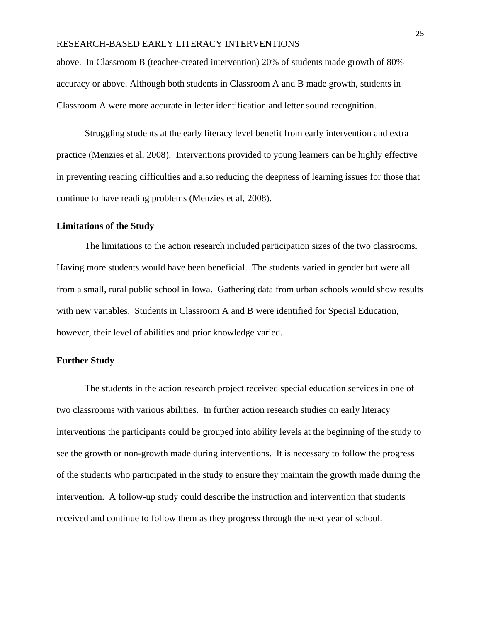above. In Classroom B (teacher-created intervention) 20% of students made growth of 80% accuracy or above. Although both students in Classroom A and B made growth, students in Classroom A were more accurate in letter identification and letter sound recognition.

Struggling students at the early literacy level benefit from early intervention and extra practice (Menzies et al, 2008). Interventions provided to young learners can be highly effective in preventing reading difficulties and also reducing the deepness of learning issues for those that continue to have reading problems (Menzies et al, 2008).

# **Limitations of the Study**

The limitations to the action research included participation sizes of the two classrooms. Having more students would have been beneficial. The students varied in gender but were all from a small, rural public school in Iowa. Gathering data from urban schools would show results with new variables. Students in Classroom A and B were identified for Special Education, however, their level of abilities and prior knowledge varied.

## **Further Study**

The students in the action research project received special education services in one of two classrooms with various abilities. In further action research studies on early literacy interventions the participants could be grouped into ability levels at the beginning of the study to see the growth or non-growth made during interventions. It is necessary to follow the progress of the students who participated in the study to ensure they maintain the growth made during the intervention. A follow-up study could describe the instruction and intervention that students received and continue to follow them as they progress through the next year of school.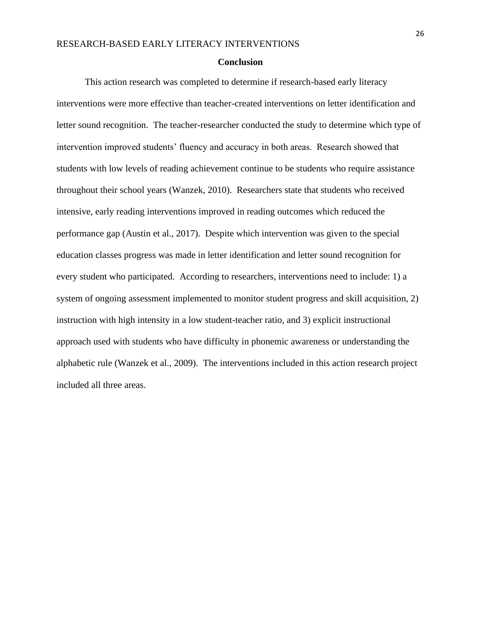#### **Conclusion**

This action research was completed to determine if research-based early literacy interventions were more effective than teacher-created interventions on letter identification and letter sound recognition. The teacher-researcher conducted the study to determine which type of intervention improved students' fluency and accuracy in both areas. Research showed that students with low levels of reading achievement continue to be students who require assistance throughout their school years (Wanzek, 2010). Researchers state that students who received intensive, early reading interventions improved in reading outcomes which reduced the performance gap (Austin et al., 2017). Despite which intervention was given to the special education classes progress was made in letter identification and letter sound recognition for every student who participated. According to researchers, interventions need to include: 1) a system of ongoing assessment implemented to monitor student progress and skill acquisition, 2) instruction with high intensity in a low student-teacher ratio, and 3) explicit instructional approach used with students who have difficulty in phonemic awareness or understanding the alphabetic rule (Wanzek et al., 2009). The interventions included in this action research project included all three areas.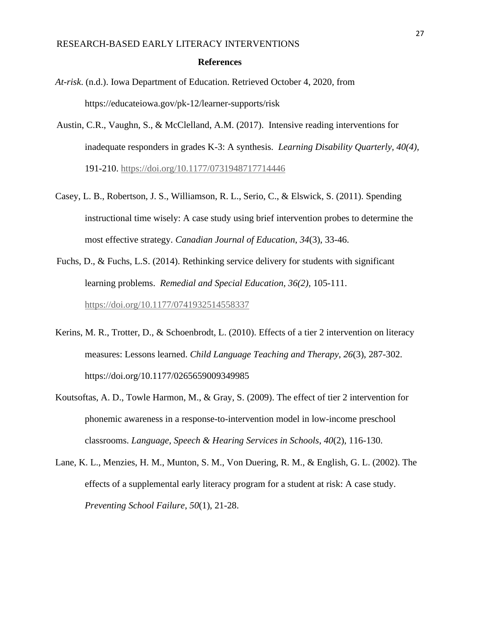#### **References**

- *At-risk*. (n.d.). Iowa Department of Education. Retrieved October 4, 2020, from https://educateiowa.gov/pk-12/learner-supports/risk
- Austin, C.R., Vaughn, S., & McClelland, A.M. (2017). Intensive reading interventions for inadequate responders in grades K-3: A synthesis. *Learning Disability Quarterly, 40(4),*  191-210.<https://doi.org/10.1177/0731948717714446>
- Casey, L. B., Robertson, J. S., Williamson, R. L., Serio, C., & Elswick, S. (2011). Spending instructional time wisely: A case study using brief intervention probes to determine the most effective strategy. *Canadian Journal of Education*, *34*(3), 33-46.
- Fuchs, D., & Fuchs, L.S. (2014). Rethinking service delivery for students with significant learning problems. *Remedial and Special Education, 36(2),* 105-111. <https://doi.org/10.1177/0741932514558337>
- Kerins, M. R., Trotter, D., & Schoenbrodt, L. (2010). Effects of a tier 2 intervention on literacy measures: Lessons learned. *Child Language Teaching and Therapy*, *26*(3), 287-302. https://doi.org/10.1177/0265659009349985
- Koutsoftas, A. D., Towle Harmon, M., & Gray, S. (2009). The effect of tier 2 intervention for phonemic awareness in a response-to-intervention model in low-income preschool classrooms. *Language, Speech & Hearing Services in Schools*, *40*(2), 116-130.
- Lane, K. L., Menzies, H. M., Munton, S. M., Von Duering, R. M., & English, G. L. (2002). The effects of a supplemental early literacy program for a student at risk: A case study. *Preventing School Failure*, *50*(1), 21-28.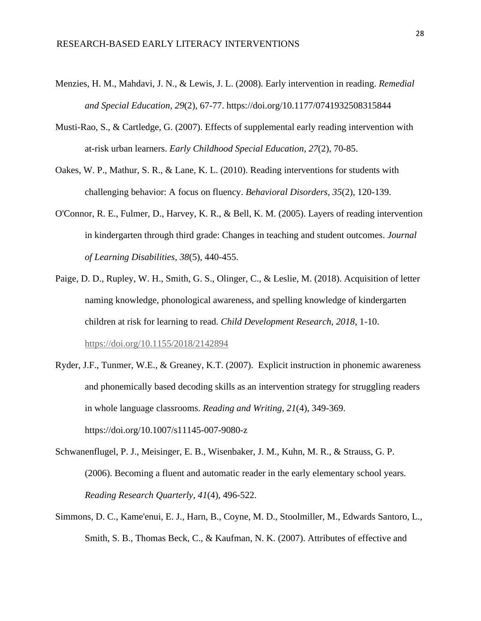- Menzies, H. M., Mahdavi, J. N., & Lewis, J. L. (2008). Early intervention in reading. *Remedial and Special Education*, *29*(2), 67-77. https://doi.org/10.1177/0741932508315844
- Musti-Rao, S., & Cartledge, G. (2007). Effects of supplemental early reading intervention with at-risk urban learners. *Early Childhood Special Education*, *27*(2), 70-85.
- Oakes, W. P., Mathur, S. R., & Lane, K. L. (2010). Reading interventions for students with challenging behavior: A focus on fluency. *Behavioral Disorders*, *35*(2), 120-139.
- O'Connor, R. E., Fulmer, D., Harvey, K. R., & Bell, K. M. (2005). Layers of reading intervention in kindergarten through third grade: Changes in teaching and student outcomes. *Journal of Learning Disabilities*, *38*(5), 440-455.
- Paige, D. D., Rupley, W. H., Smith, G. S., Olinger, C., & Leslie, M. (2018). Acquisition of letter naming knowledge, phonological awareness, and spelling knowledge of kindergarten children at risk for learning to read. *Child Development Research*, *2018*, 1-10. <https://doi.org/10.1155/2018/2142894>
- Ryder, J.F., Tunmer, W.E., & Greaney, K.T. (2007). Explicit instruction in phonemic awareness and phonemically based decoding skills as an intervention strategy for struggling readers in whole language classrooms. *Reading and Writing, 21*(4), 349-369. https://doi.org/10.1007/s11145-007-9080-z
- Schwanenflugel, P. J., Meisinger, E. B., Wisenbaker, J. M., Kuhn, M. R., & Strauss, G. P. (2006). Becoming a fluent and automatic reader in the early elementary school years. *Reading Research Quarterly*, *41*(4), 496-522.
- Simmons, D. C., Kame'enui, E. J., Harn, B., Coyne, M. D., Stoolmiller, M., Edwards Santoro, L., Smith, S. B., Thomas Beck, C., & Kaufman, N. K. (2007). Attributes of effective and